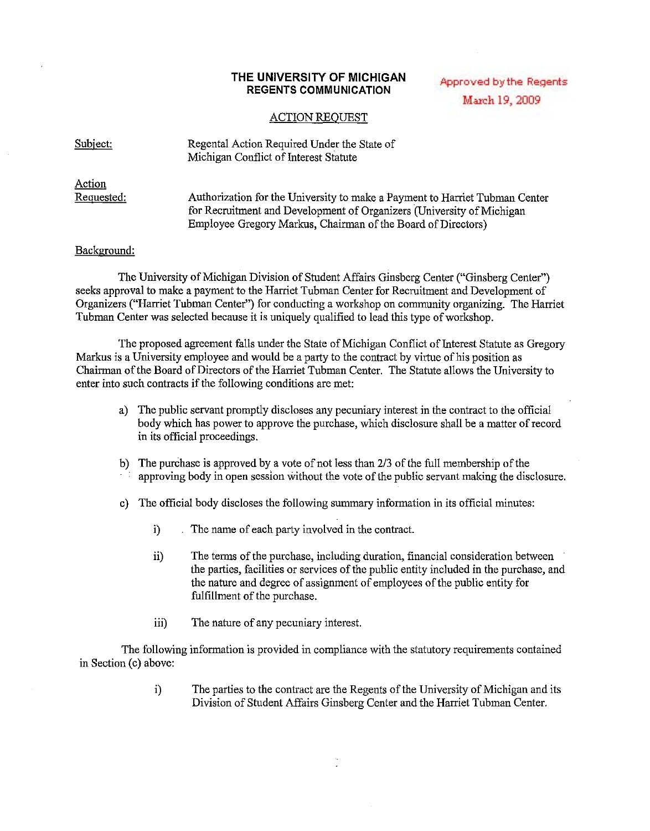## **THE UNIVERSITY OF MICHIGAN REGENTS COMMUNICATION**

## Approved by the Regents March 19, 2009

## ACTION REQUEST

| Subject:             | Regental Action Required Under the State of<br>Michigan Conflict of Interest Statute                                                                                                                                 |
|----------------------|----------------------------------------------------------------------------------------------------------------------------------------------------------------------------------------------------------------------|
| Action<br>Requested: | Authorization for the University to make a Payment to Harriet Tubman Center<br>for Recruitment and Development of Organizers (University of Michigan<br>Employee Gregory Markus, Chairman of the Board of Directors) |

## Background:

The University of Michigan Division of Student Affairs Ginsberg Center ("Ginsberg Center") seeks approval to make a payment to the Harriet Tubman Center for Recruitment and Development of Organizers ("Harriet Tubman Center") for conducting a workshop on community organizing. The Harriet Tubman Center was selected because it is uniquely qualified to lead this type of workshop.

The proposed agreement falls under the State of Michigan Conflict of Interest Statute as Gregory Markus is a University employee and would be a party to the contract by virtue of his position as Chairman of the Board of Directors of the Harriet Tubman Center. The Statute allows the University to enter into such contracts if the following conditions are met:

- a) The public servant promptly discloses any pecuniary interest in the contract to the official body which has power to approve the purchase, which disclosure shall be a matter ofrecord in its official proceedings.
- b) The purchase is approved by a vote of not less than  $2/3$  of the full membership of the approving body in open session without the vote of the public servant making the disclosure.
- c) The official body discloses the following summary information in its official minutes:
	- i) The name of each party involved in the contract.
	- ii) The terms of the purchase, including duration, financial consideration between the parties, facilities or services of the public entity included in the purchase, and the nature and degree of assignment of employees of the public entity for fulfillment of the purchase.
	- iii) The nature of any pecuniary interest.

The following information is provided in compliance with the statutory requirements contained in Section (c) above:

> i) The parties to the contract are the Regents of the University of Michigan and its Division of Student Affairs Ginsberg Center and the Harriet Tubman Center.